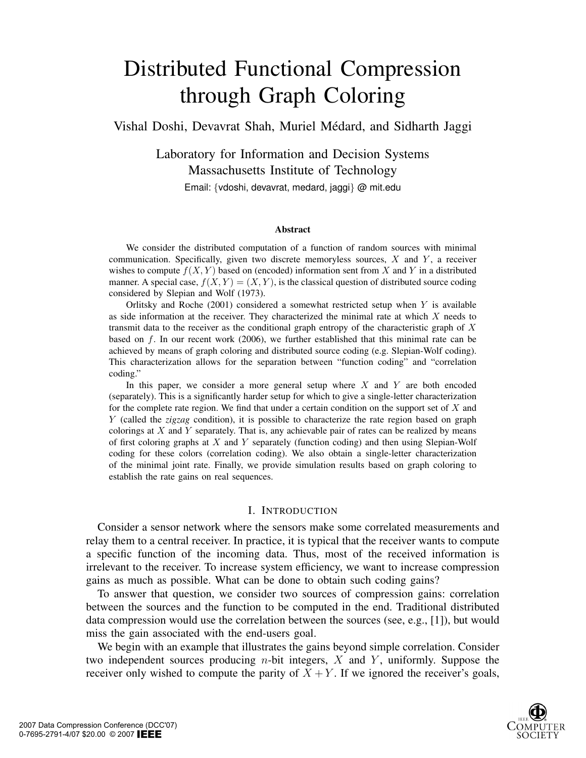# Distributed Functional Compression through Graph Coloring

Vishal Doshi, Devavrat Shah, Muriel Médard, and Sidharth Jaggi

Laboratory for Information and Decision Systems Massachusetts Institute of Technology Email: {vdoshi, devavrat, medard, jaggi} @ mit.edu

#### Abstract

We consider the distributed computation of a function of random sources with minimal communication. Specifically, given two discrete memoryless sources, *X* and *Y* , a receiver wishes to compute  $f(X, Y)$  based on (encoded) information sent from X and Y in a distributed manner. A special case,  $f(X, Y) = (X, Y)$ , is the classical question of distributed source coding considered by Slepian and Wolf (1973).

Orlitsky and Roche (2001) considered a somewhat restricted setup when *Y* is available as side information at the receiver. They characterized the minimal rate at which *X* needs to transmit data to the receiver as the conditional graph entropy of the characteristic graph of *X* based on *f*. In our recent work (2006), we further established that this minimal rate can be achieved by means of graph coloring and distributed source coding (e.g. Slepian-Wolf coding). This characterization allows for the separation between "function coding" and "correlation coding."

In this paper, we consider a more general setup where *X* and *Y* are both encoded (separately). This is a significantly harder setup for which to give a single-letter characterization for the complete rate region. We find that under a certain condition on the support set of *X* and *Y* (called the *zigzag* condition), it is possible to characterize the rate region based on graph colorings at *X* and *Y* separately. That is, any achievable pair of rates can be realized by means of first coloring graphs at *X* and *Y* separately (function coding) and then using Slepian-Wolf coding for these colors (correlation coding). We also obtain a single-letter characterization of the minimal joint rate. Finally, we provide simulation results based on graph coloring to establish the rate gains on real sequences.

#### I. INTRODUCTION

Consider a sensor network where the sensors make some correlated measurements and relay them to a central receiver. In practice, it is typical that the receiver wants to compute a specific function of the incoming data. Thus, most of the received information is irrelevant to the receiver. To increase system efficiency, we want to increase compression gains as much as possible. What can be done to obtain such coding gains?

To answer that question, we consider two sources of compression gains: correlation between the sources and the function to be computed in the end. Traditional distributed data compression would use the correlation between the sources (see, e.g., [1]), but would miss the gain associated with the end-users goal.

We begin with an example that illustrates the gains beyond simple correlation. Consider two independent sources producing *n*-bit integers,  $X$  and  $Y$ , uniformly. Suppose the receiver only wished to compute the parity of  $X + Y$ . If we ignored the receiver's goals,

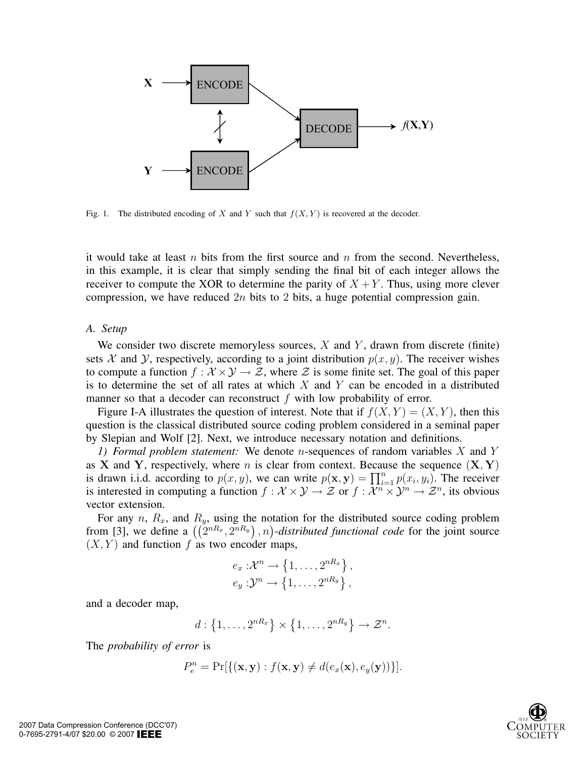

Fig. 1. The distributed encoding of *X* and *Y* such that  $f(X, Y)$  is recovered at the decoder.

it would take at least n bits from the first source and n from the second. Nevertheless, in this example, it is clear that simply sending the final bit of each integer allows the receiver to compute the XOR to determine the parity of  $X + Y$ . Thus, using more clever compression, we have reduced  $2n$  bits to 2 bits, a huge potential compression gain.

## *A. Setup*

We consider two discrete memoryless sources,  $X$  and  $Y$ , drawn from discrete (finite) sets X and Y, respectively, according to a joint distribution  $p(x, y)$ . The receiver wishes to compute a function  $f: \mathcal{X} \times \mathcal{Y} \to \mathcal{Z}$ , where  $\mathcal Z$  is some finite set. The goal of this paper is to determine the set of all rates at which  $X$  and  $Y$  can be encoded in a distributed manner so that a decoder can reconstruct  $f$  with low probability of error.

Figure I-A illustrates the question of interest. Note that if  $f(X, Y) = (X, Y)$ , then this question is the classical distributed source coding problem considered in a seminal paper by Slepian and Wolf [2]. Next, we introduce necessary notation and definitions.

*1) Formal problem statement:* We denote n-sequences of random variables X and Y as **X** and **Y**, respectively, where n is clear from context. Because the sequence  $(X, Y)$ is drawn i.i.d. according to  $p(x, y)$ , we can write  $p(\mathbf{x}, \mathbf{y}) = \prod_{i=1}^{n} p(x_i, y_i)$ . The receiver is interested in computing a function  $f : \mathcal{X} \times \mathcal{Y} \to \mathcal{Z}$  or  $f : \mathcal{X}^n \times \mathcal{Y}^n \to \mathcal{Z}^n$ , its obvious vector extension.

For any n,  $R_x$ , and  $R_y$ , using the notation for the distributed source coding problem from [3], we define a  $((2^{nR_x}, 2^{nR_y})$ , n)-distributed functional code for the joint source  $(X, Y)$  and function f as two encoder maps,

$$
e_x: \mathcal{X}^n \to \left\{1, \ldots, 2^{nR_x}\right\},\
$$

$$
e_y: \mathcal{Y}^n \to \left\{1, \ldots, 2^{nR_y}\right\},\
$$

and a decoder map,

$$
d: \left\{1,\ldots,2^{nR_x}\right\} \times \left\{1,\ldots,2^{nR_y}\right\} \to \mathcal{Z}^n.
$$

The *probability of error* is

$$
P_e^n = \Pr[\{(\mathbf{x}, \mathbf{y}) : f(\mathbf{x}, \mathbf{y}) \neq d(e_x(\mathbf{x}), e_y(\mathbf{y}))\}].
$$

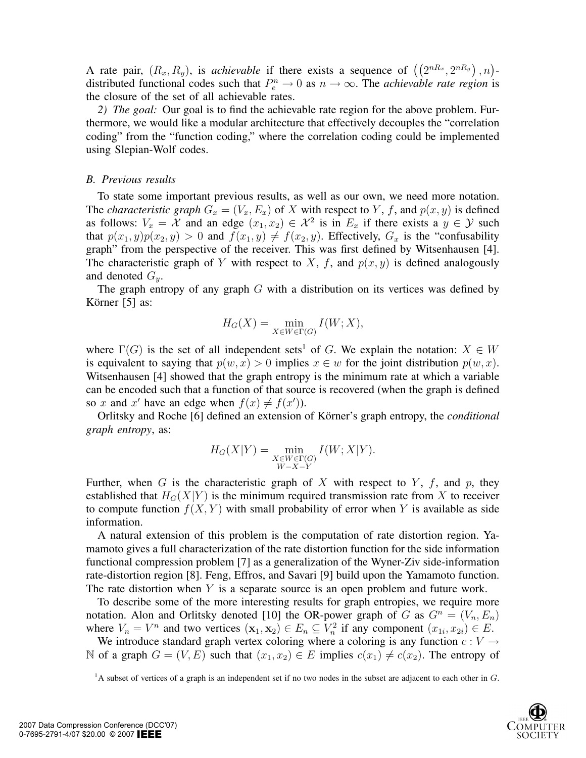A rate pair,  $(R_x, R_y)$ , is *achievable* if there exists a sequence of  $((2^{nR_x}, 2^{nR_y})$ , n)distributed functional codes such that  $P_e^n \to 0$  as  $n \to \infty$ . The *achievable rate region* is the closure of the set of all achievable rates.

*2) The goal:* Our goal is to find the achievable rate region for the above problem. Furthermore, we would like a modular architecture that effectively decouples the "correlation coding" from the "function coding," where the correlation coding could be implemented using Slepian-Wolf codes.

## *B. Previous results*

To state some important previous results, as well as our own, we need more notation. The *characteristic graph*  $G_x = (V_x, E_x)$  of X with respect to Y, f, and  $p(x, y)$  is defined as follows:  $V_x = \mathcal{X}$  and an edge  $(x_1, x_2) \in \mathcal{X}^2$  is in  $E_x$  if there exists a  $y \in \mathcal{Y}$  such that  $p(x_1, y)p(x_2, y) > 0$  and  $f(x_1, y) \neq f(x_2, y)$ . Effectively,  $G_x$  is the "confusability" graph" from the perspective of the receiver. This was first defined by Witsenhausen [4]. The characteristic graph of Y with respect to X, f, and  $p(x, y)$  is defined analogously and denoted  $G_y$ .

The graph entropy of any graph  $G$  with a distribution on its vertices was defined by Körner  $[5]$  as:

$$
H_G(X) = \min_{X \in W \in \Gamma(G)} I(W; X),
$$

where  $\Gamma(G)$  is the set of all independent sets<sup>1</sup> of G. We explain the notation:  $X \in W$ is equivalent to saying that  $p(w, x) > 0$  implies  $x \in w$  for the joint distribution  $p(w, x)$ . Witsenhausen [4] showed that the graph entropy is the minimum rate at which a variable can be encoded such that a function of that source is recovered (when the graph is defined so x and x' have an edge when  $f(x) \neq f(x')$ ).

Orlitsky and Roche [6] defined an extension of Körner's graph entropy, the *conditional graph entropy*, as:

$$
H_G(X|Y) = \min_{\substack{X \in W \in \Gamma(G) \\ W-X-Y}} I(W; X|Y).
$$

Further, when G is the characteristic graph of X with respect to Y, f, and p, they established that  $H_G(X|Y)$  is the minimum required transmission rate from X to receiver to compute function  $f(X, Y)$  with small probability of error when Y is available as side information.

A natural extension of this problem is the computation of rate distortion region. Yamamoto gives a full characterization of the rate distortion function for the side information functional compression problem [7] as a generalization of the Wyner-Ziv side-information rate-distortion region [8]. Feng, Effros, and Savari [9] build upon the Yamamoto function. The rate distortion when  $Y$  is a separate source is an open problem and future work.

To describe some of the more interesting results for graph entropies, we require more notation. Alon and Orlitsky denoted [10] the OR-power graph of G as  $G^n = (V_n, E_n)$ where  $V_n = V^n$  and two vertices  $(\mathbf{x}_1, \mathbf{x}_2) \in E_n \subseteq V_n^2$  if any component  $(x_{1i}, x_{2i}) \in E$ .

We introduce standard graph vertex coloring where a coloring is any function  $c: V \rightarrow$ N of a graph  $G = (V, E)$  such that  $(x_1, x_2) \in E$  implies  $c(x_1) \neq c(x_2)$ . The entropy of

<sup>&</sup>lt;sup>1</sup>A subset of vertices of a graph is an independent set if no two nodes in the subset are adjacent to each other in *G*.

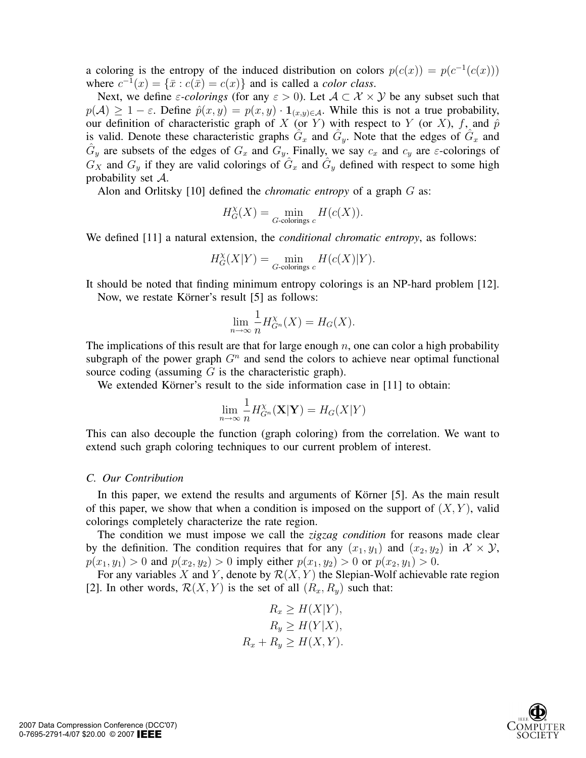a coloring is the entropy of the induced distribution on colors  $p(c(x)) = p(c^{-1}(c(x)))$ where  $c^{-1}(x) = {\bar{x} : c(\bar{x}) = c(x)}$  and is called a *color class*.

Next, we define  $\varepsilon$ -colorings (for any  $\varepsilon > 0$ ). Let  $A \subset \mathcal{X} \times \mathcal{Y}$  be any subset such that  $p(\mathcal{A}) \geq 1 - \varepsilon$ . Define  $\hat{p}(x, y) = p(x, y) \cdot \mathbf{1}_{(x, y) \in \mathcal{A}}$ . While this is not a true probability, our definition of characteristic graph of X (or Y) with respect to Y (or X), f, and  $\hat{p}$ is valid. Denote these characteristic graphs  $G_x$  and  $G_y$ . Note that the edges of  $G_x$  and  $G_y$  are subsets of the edges of  $G_x$  and  $G_y$ . Finally, we say  $c_x$  and  $c_y$  are  $\varepsilon$ -colorings of  $G_X$  and  $G_y$  if they are valid colorings of  $\hat{G}_x$  and  $\hat{G}_y$  defined with respect to some high probability set A.

Alon and Orlitsky [10] defined the *chromatic entropy* of a graph G as:

$$
H^{\chi}_G(X)=\min_{G\text{-colorings }c}H(c(X)).
$$

We defined [11] a natural extension, the *conditional chromatic entropy*, as follows:

$$
H_G^{\chi}(X|Y) = \min_{G\text{-colorings }c} H(c(X)|Y).
$$

It should be noted that finding minimum entropy colorings is an NP-hard problem [12]. Now, we restate Körner's result [5] as follows:

$$
\lim_{n \to \infty} \frac{1}{n} H_{G^n}^{\chi}(X) = H_G(X).
$$

The implications of this result are that for large enough  $n$ , one can color a high probability subgraph of the power graph  $G<sup>n</sup>$  and send the colors to achieve near optimal functional source coding (assuming  $G$  is the characteristic graph).

We extended Körner's result to the side information case in [11] to obtain:

$$
\lim_{n \to \infty} \frac{1}{n} H_{G^n}^{\chi}(\mathbf{X}|\mathbf{Y}) = H_G(X|Y)
$$

This can also decouple the function (graph coloring) from the correlation. We want to extend such graph coloring techniques to our current problem of interest.

#### *C. Our Contribution*

In this paper, we extend the results and arguments of Körner  $[5]$ . As the main result of this paper, we show that when a condition is imposed on the support of  $(X, Y)$ , valid colorings completely characterize the rate region.

The condition we must impose we call the *zigzag condition* for reasons made clear by the definition. The condition requires that for any  $(x_1, y_1)$  and  $(x_2, y_2)$  in  $\mathcal{X} \times \mathcal{Y}$ ,  $p(x_1, y_1) > 0$  and  $p(x_2, y_2) > 0$  imply either  $p(x_1, y_2) > 0$  or  $p(x_2, y_1) > 0$ .

For any variables X and Y, denote by  $\mathcal{R}(X, Y)$  the Slepian-Wolf achievable rate region [2]. In other words,  $\mathcal{R}(X, Y)$  is the set of all  $(R_x, R_y)$  such that:

$$
R_x \ge H(X|Y),
$$
  
\n
$$
R_y \ge H(Y|X),
$$
  
\n
$$
R_x + R_y \ge H(X,Y).
$$

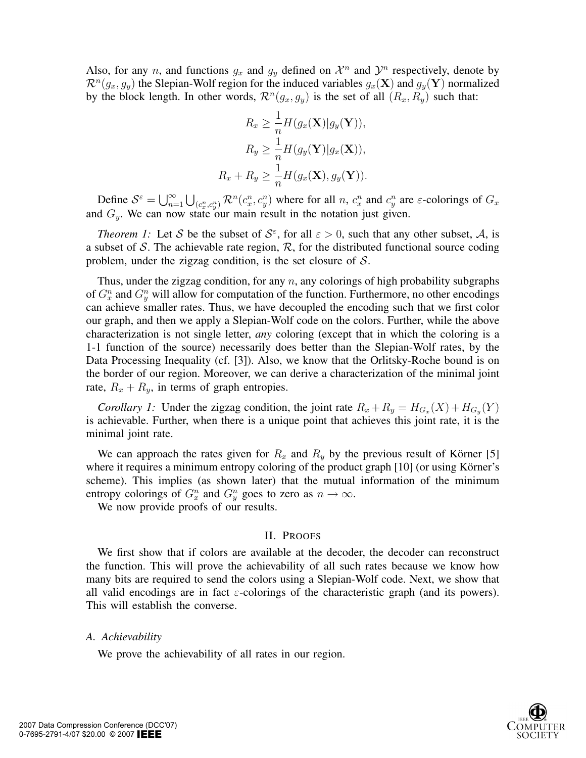Also, for any n, and functions  $g_x$  and  $g_y$  defined on  $\mathcal{X}^n$  and  $\mathcal{Y}^n$  respectively, denote by  $\mathcal{R}^n(g_x, g_y)$  the Slepian-Wolf region for the induced variables  $g_x(\mathbf{X})$  and  $g_y(\mathbf{Y})$  normalized by the block length. In other words,  $\mathcal{R}^n(g_x, g_y)$  is the set of all  $(R_x, R_y)$  such that:

$$
R_x \ge \frac{1}{n} H(g_x(\mathbf{X})|g_y(\mathbf{Y})),
$$
  
\n
$$
R_y \ge \frac{1}{n} H(g_y(\mathbf{Y})|g_x(\mathbf{X})),
$$
  
\n
$$
R_x + R_y \ge \frac{1}{n} H(g_x(\mathbf{X}), g_y(\mathbf{Y})).
$$

Define  $S^{\varepsilon} = \bigcup_{n=1}^{\infty} \bigcup_{(c_x^n, c_y^n)} \mathcal{R}^n(c_x^n, c_y^n)$  where for all n,  $c_x^n$  and  $c_y^n$  are  $\varepsilon$ -colorings of  $G_x$ and  $G_y$ . We can now state our main result in the notation just given.

*Theorem 1:* Let S be the subset of  $S^{\varepsilon}$ , for all  $\varepsilon > 0$ , such that any other subset, A, is a subset of S. The achievable rate region,  $\mathcal{R}$ , for the distributed functional source coding problem, under the zigzag condition, is the set closure of  $S$ .

Thus, under the zigzag condition, for any  $n$ , any colorings of high probability subgraphs of  $G_x^n$  and  $G_y^n$  will allow for computation of the function. Furthermore, no other encodings can achieve smaller rates. Thus, we have decoupled the encoding such that we first color our graph, and then we apply a Slepian-Wolf code on the colors. Further, while the above characterization is not single letter, *any* coloring (except that in which the coloring is a 1-1 function of the source) necessarily does better than the Slepian-Wolf rates, by the Data Processing Inequality (cf. [3]). Also, we know that the Orlitsky-Roche bound is on the border of our region. Moreover, we can derive a characterization of the minimal joint rate,  $R_x + R_y$ , in terms of graph entropies.

*Corollary 1:* Under the zigzag condition, the joint rate  $R_x + R_y = H_{G_x}(X) + H_{G_y}(Y)$ is achievable. Further, when there is a unique point that achieves this joint rate, it is the minimal joint rate.

We can approach the rates given for  $R_x$  and  $R_y$  by the previous result of Körner [5] where it requires a minimum entropy coloring of the product graph [10] (or using Körner's scheme). This implies (as shown later) that the mutual information of the minimum entropy colorings of  $G_x^n$  and  $G_y^n$  goes to zero as  $n \to \infty$ .

We now provide proofs of our results.

## II. PROOFS

We first show that if colors are available at the decoder, the decoder can reconstruct the function. This will prove the achievability of all such rates because we know how many bits are required to send the colors using a Slepian-Wolf code. Next, we show that all valid encodings are in fact  $\varepsilon$ -colorings of the characteristic graph (and its powers). This will establish the converse.

# *A. Achievability*

We prove the achievability of all rates in our region.

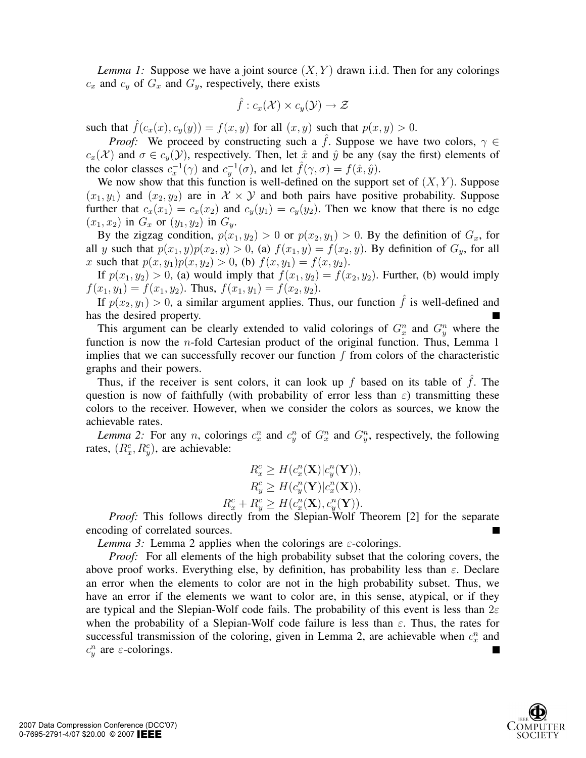*Lemma 1:* Suppose we have a joint source  $(X, Y)$  drawn i.i.d. Then for any colorings  $c_x$  and  $c_y$  of  $G_x$  and  $G_y$ , respectively, there exists

$$
\hat{f}:c_x(\mathcal{X})\times c_y(\mathcal{Y})\to \mathcal{Z}
$$

such that  $\hat{f}(c_x(x), c_y(y)) = f(x, y)$  for all  $(x, y)$  such that  $p(x, y) > 0$ .

*Proof:* We proceed by constructing such a  $\hat{f}$ . Suppose we have two colors,  $\gamma \in$  $c_x(\mathcal{X})$  and  $\sigma \in c_y(\mathcal{Y})$ , respectively. Then, let  $\hat{x}$  and  $\hat{y}$  be any (say the first) elements of the color classes  $c_x^{-1}(\gamma)$  and  $c_y^{-1}(\sigma)$ , and let  $\hat{f}(\gamma,\sigma) = f(\hat{x},\hat{y})$ .

We now show that this function is well-defined on the support set of  $(X, Y)$ . Suppose  $(x_1, y_1)$  and  $(x_2, y_2)$  are in  $\mathcal{X} \times \mathcal{Y}$  and both pairs have positive probability. Suppose further that  $c_x(x_1) = c_x(x_2)$  and  $c_y(y_1) = c_y(y_2)$ . Then we know that there is no edge  $(x_1, x_2)$  in  $G_x$  or  $(y_1, y_2)$  in  $G_y$ .

By the zigzag condition,  $p(x_1, y_2) > 0$  or  $p(x_2, y_1) > 0$ . By the definition of  $G_x$ , for all y such that  $p(x_1, y)p(x_2, y) > 0$ , (a)  $f(x_1, y) = f(x_2, y)$ . By definition of  $G_y$ , for all x such that  $p(x, y_1)p(x, y_2) > 0$ , (b)  $f(x, y_1) = f(x, y_2)$ .

If  $p(x_1, y_2) > 0$ , (a) would imply that  $f(x_1, y_2) = f(x_2, y_2)$ . Further, (b) would imply  $f(x_1, y_1) = f(x_1, y_2)$ . Thus,  $f(x_1, y_1) = f(x_2, y_2)$ .

If  $p(x_2, y_1) > 0$ , a similar argument applies. Thus, our function  $\hat{f}$  is well-defined and has the desired property.

This argument can be clearly extended to valid colorings of  $G_x^n$  and  $G_y^n$  where the function is now the  $n$ -fold Cartesian product of the original function. Thus, Lemma 1 implies that we can successfully recover our function  $f$  from colors of the characteristic graphs and their powers.

Thus, if the receiver is sent colors, it can look up f based on its table of  $\hat{f}$ . The question is now of faithfully (with probability of error less than  $\varepsilon$ ) transmitting these colors to the receiver. However, when we consider the colors as sources, we know the achievable rates.

*Lemma 2:* For any *n*, colorings  $c_x^n$  and  $c_y^n$  of  $G_x^n$  and  $G_y^n$ , respectively, the following rates,  $(R_x^c, R_y^c)$ , are achievable:

$$
R_x^c \ge H(c_x^n(\mathbf{X})|c_y^n(\mathbf{Y})),
$$
  
\n
$$
R_y^c \ge H(c_y^n(\mathbf{Y})|c_x^n(\mathbf{X})),
$$
  
\n
$$
R_x^c + R_y^c \ge H(c_x^n(\mathbf{X}), c_y^n(\mathbf{Y})).
$$

*Proof:* This follows directly from the Slepian-Wolf Theorem [2] for the separate encoding of correlated sources.

*Lemma 3:* Lemma 2 applies when the colorings are  $\varepsilon$ -colorings.

*Proof:* For all elements of the high probability subset that the coloring covers, the above proof works. Everything else, by definition, has probability less than  $\varepsilon$ . Declare an error when the elements to color are not in the high probability subset. Thus, we have an error if the elements we want to color are, in this sense, atypical, or if they are typical and the Slepian-Wolf code fails. The probability of this event is less than  $2\varepsilon$ when the probability of a Slepian-Wolf code failure is less than  $\varepsilon$ . Thus, the rates for successful transmission of the coloring, given in Lemma 2, are achievable when  $c_x^n$  and  $c_y^n$  are  $\varepsilon$ -colorings.

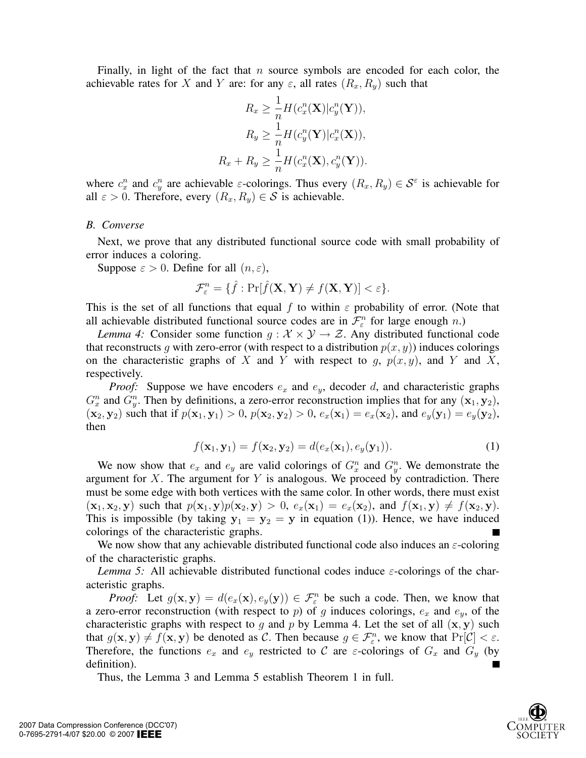Finally, in light of the fact that n source symbols are encoded for each color, the achievable rates for X and Y are: for any  $\varepsilon$ , all rates  $(R_x, R_y)$  such that

$$
R_x \ge \frac{1}{n} H(c_x^n(\mathbf{X}) | c_y^n(\mathbf{Y})),
$$
  
\n
$$
R_y \ge \frac{1}{n} H(c_y^n(\mathbf{Y}) | c_x^n(\mathbf{X})),
$$
  
\n
$$
R_x + R_y \ge \frac{1}{n} H(c_x^n(\mathbf{X}), c_y^n(\mathbf{Y})).
$$

where  $c_x^n$  and  $c_y^n$  are achievable  $\varepsilon$ -colorings. Thus every  $(R_x, R_y) \in \mathcal{S}^\varepsilon$  is achievable for all  $\varepsilon > 0$ . Therefore, every  $(R_x, R_y) \in S$  is achievable.

#### *B. Converse*

Next, we prove that any distributed functional source code with small probability of error induces a coloring.

Suppose  $\varepsilon > 0$ . Define for all  $(n, \varepsilon)$ ,

$$
\mathcal{F}_{\varepsilon}^n = \{\hat{f} : \Pr[\hat{f}(\mathbf{X}, \mathbf{Y}) \neq f(\mathbf{X}, \mathbf{Y})] < \varepsilon\}.
$$

This is the set of all functions that equal f to within  $\varepsilon$  probability of error. (Note that all achievable distributed functional source codes are in  $\mathcal{F}_{\varepsilon}^n$  for large enough n.)

*Lemma 4:* Consider some function  $g: \mathcal{X} \times \mathcal{Y} \rightarrow \mathcal{Z}$ . Any distributed functional code that reconstructs g with zero-error (with respect to a distribution  $p(x, y)$ ) induces colorings on the characteristic graphs of X and Y with respect to q,  $p(x, y)$ , and Y and X, respectively.

*Proof:* Suppose we have encoders  $e_x$  and  $e_y$ , decoder d, and characteristic graphs  $G_x^n$  and  $G_y^n$ . Then by definitions, a zero-error reconstruction implies that for any  $(\mathbf{x}_1, \mathbf{y}_2)$ ,  $(\mathbf{x}_2, \mathbf{y}_2)$  such that if  $p(\mathbf{x}_1, \mathbf{y}_1) > 0$ ,  $p(\mathbf{x}_2, \mathbf{y}_2) > 0$ ,  $e_x(\mathbf{x}_1) = e_x(\mathbf{x}_2)$ , and  $e_y(\mathbf{y}_1) = e_y(\mathbf{y}_2)$ , then

$$
f(\mathbf{x}_1, \mathbf{y}_1) = f(\mathbf{x}_2, \mathbf{y}_2) = d(e_x(\mathbf{x}_1), e_y(\mathbf{y}_1)).
$$
\n(1)

We now show that  $e_x$  and  $e_y$  are valid colorings of  $G_x^n$  and  $G_y^n$ . We demonstrate the argument for  $X$ . The argument for  $Y$  is analogous. We proceed by contradiction. There must be some edge with both vertices with the same color. In other words, there must exist  $(\mathbf{x}_1, \mathbf{x}_2, \mathbf{y})$  such that  $p(\mathbf{x}_1, \mathbf{y})p(\mathbf{x}_2, \mathbf{y}) > 0$ ,  $e_x(\mathbf{x}_1) = e_x(\mathbf{x}_2)$ , and  $f(\mathbf{x}_1, \mathbf{y}) \neq f(\mathbf{x}_2, \mathbf{y})$ . This is impossible (by taking  $y_1 = y_2 = y$  in equation (1)). Hence, we have induced colorings of the characteristic graphs.

We now show that any achievable distributed functional code also induces an  $\varepsilon$ -coloring of the characteristic graphs.

*Lemma 5:* All achievable distributed functional codes induce  $\varepsilon$ -colorings of the characteristic graphs.

*Proof:* Let  $g(\mathbf{x}, \mathbf{y}) = d(e_x(\mathbf{x}), e_y(\mathbf{y})) \in \mathcal{F}_{\epsilon}^n$  be such a code. Then, we know that a zero-error reconstruction (with respect to p) of g induces colorings,  $e_x$  and  $e_y$ , of the characteristic graphs with respect to g and p by Lemma 4. Let the set of all  $(x, y)$  such that  $g(\mathbf{x}, \mathbf{y}) \neq f(\mathbf{x}, \mathbf{y})$  be denoted as C. Then because  $g \in \mathcal{F}_{\varepsilon}^n$ , we know that  $Pr[\mathcal{C}] < \varepsilon$ . Therefore, the functions  $e_x$  and  $e_y$  restricted to C are  $\varepsilon$ -colorings of  $G_x$  and  $G_y$  (by definition). L.

Thus, the Lemma 3 and Lemma 5 establish Theorem 1 in full.

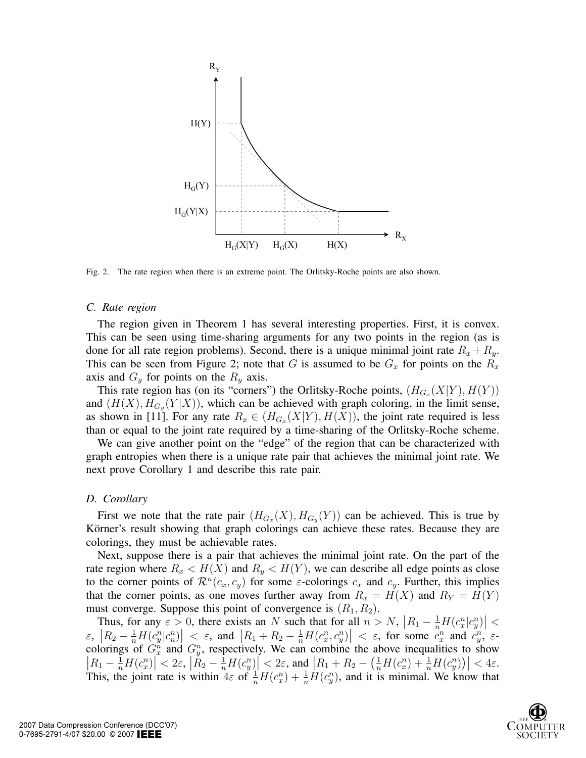

Fig. 2. The rate region when there is an extreme point. The Orlitsky-Roche points are also shown.

#### *C. Rate region*

The region given in Theorem 1 has several interesting properties. First, it is convex. This can be seen using time-sharing arguments for any two points in the region (as is done for all rate region problems). Second, there is a unique minimal joint rate  $R_x + R_y$ . This can be seen from Figure 2; note that G is assumed to be  $G_x$  for points on the  $R_x$ axis and  $G_y$  for points on the  $R_y$  axis.

This rate region has (on its "corners") the Orlitsky-Roche points,  $(H_{G_x}(X|Y), H(Y))$ and  $(H(X), H_{G_y}(Y|X))$ , which can be achieved with graph coloring, in the limit sense, as shown in [11]. For any rate  $R_x \in (H_{G_x}(X|Y), H(X))$ , the joint rate required is less than or equal to the joint rate required by a time-sharing of the Orlitsky-Roche scheme.

We can give another point on the "edge" of the region that can be characterized with graph entropies when there is a unique rate pair that achieves the minimal joint rate. We next prove Corollary 1 and describe this rate pair.

### *D. Corollary*

First we note that the rate pair  $(H_{G_x}(X), H_{G_y}(Y))$  can be achieved. This is true by Körner's result showing that graph colorings can achieve these rates. Because they are colorings, they must be achievable rates.

Next, suppose there is a pair that achieves the minimal joint rate. On the part of the rate region where  $R_x < H(X)$  and  $R_y < H(Y)$ , we can describe all edge points as close to the corner points of  $\mathcal{R}^n(c_x, c_y)$  for some  $\varepsilon$ -colorings  $c_x$  and  $c_y$ . Further, this implies that the corner points, as one moves further away from  $R_x = H(X)$  and  $R_y = H(Y)$ must converge. Suppose this point of convergence is  $(R_1, R_2)$ .

Thus, for any  $\varepsilon > 0$ , there exists an N such that for all  $n > N$ ,  $|R_1 - \frac{1}{n}H(c_n^n|c_y^n)| <$  $\mathcal{E}_n$ ,  $|R_2 - \frac{1}{n}H(c_n^n|c_n^n)| < \mathcal{E}_n$ , and  $|R_1 + R_2 - \frac{1}{n}H(c_n^n,c_y^n)| < \mathcal{E}_n$ , for some  $c_n^n$  and  $c_y^n$ ,  $\mathcal{E}_n$ colorings of  $G_x^n$  and  $G_y^n$ , respectively. We can combine the above inequalities to show  $\left| R_1 - \frac{1}{n}H(c_x^n) \right| < 2\varepsilon, \, \left| R_2 - \frac{1}{n}H(c_y^n) \right| < 2\varepsilon, \text{ and } \left| R_1 + R_2 - \left( \frac{1}{n}H(c_x^n) + \frac{1}{n}H(c_y^n) \right) \right| < 4\varepsilon.$ This, the joint rate is within  $4\varepsilon$  of  $\frac{1}{n}H(c_x^n) + \frac{1}{n}H(c_y^n)$ , and it is minimal. We know that

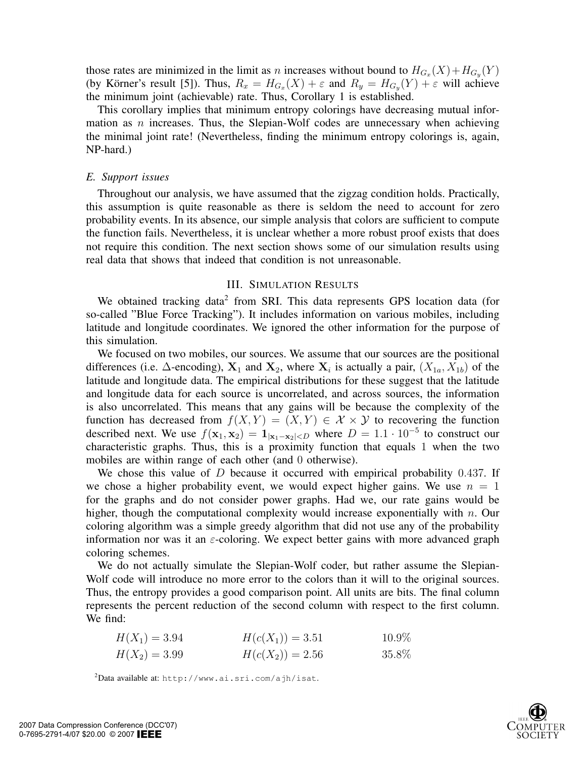those rates are minimized in the limit as n increases without bound to  $H_{G_x}(X) + H_{G_y}(Y)$ (by Körner's result [5]). Thus,  $R_x = H_{G_x}(X) + \varepsilon$  and  $R_y = H_{G_y}(Y) + \varepsilon$  will achieve the minimum joint (achievable) rate. Thus, Corollary 1 is established.

This corollary implies that minimum entropy colorings have decreasing mutual information as  $n$  increases. Thus, the Slepian-Wolf codes are unnecessary when achieving the minimal joint rate! (Nevertheless, finding the minimum entropy colorings is, again, NP-hard.)

### *E. Support issues*

Throughout our analysis, we have assumed that the zigzag condition holds. Practically, this assumption is quite reasonable as there is seldom the need to account for zero probability events. In its absence, our simple analysis that colors are sufficient to compute the function fails. Nevertheless, it is unclear whether a more robust proof exists that does not require this condition. The next section shows some of our simulation results using real data that shows that indeed that condition is not unreasonable.

# III. SIMULATION RESULTS

We obtained tracking data<sup>2</sup> from SRI. This data represents GPS location data (for so-called "Blue Force Tracking"). It includes information on various mobiles, including latitude and longitude coordinates. We ignored the other information for the purpose of this simulation.

We focused on two mobiles, our sources. We assume that our sources are the positional differences (i.e.  $\Delta$ -encoding),  $X_1$  and  $X_2$ , where  $X_i$  is actually a pair,  $(X_{1a}, X_{1b})$  of the latitude and longitude data. The empirical distributions for these suggest that the latitude and longitude data for each source is uncorrelated, and across sources, the information is also uncorrelated. This means that any gains will be because the complexity of the function has decreased from  $f(X, Y) = (X, Y) \in \mathcal{X} \times \mathcal{Y}$  to recovering the function described next. We use  $f(\mathbf{x}_1, \mathbf{x}_2) = \mathbf{1}_{|\mathbf{x}_1 - \mathbf{x}_2| < D}$  where  $D = 1.1 \cdot 10^{-5}$  to construct our characteristic graphs. Thus, this is a proximity function that equals 1 when the two mobiles are within range of each other (and 0 otherwise).

We chose this value of  $D$  because it occurred with empirical probability 0.437. If we chose a higher probability event, we would expect higher gains. We use  $n = 1$ for the graphs and do not consider power graphs. Had we, our rate gains would be higher, though the computational complexity would increase exponentially with  $n$ . Our coloring algorithm was a simple greedy algorithm that did not use any of the probability information nor was it an  $\varepsilon$ -coloring. We expect better gains with more advanced graph coloring schemes.

We do not actually simulate the Slepian-Wolf coder, but rather assume the Slepian-Wolf code will introduce no more error to the colors than it will to the original sources. Thus, the entropy provides a good comparison point. All units are bits. The final column represents the percent reduction of the second column with respect to the first column. We find:

| $H(X_1) = 3.94$ | $H(c(X_1)) = 3.51$ | $10.9\%$ |
|-----------------|--------------------|----------|
| $H(X_2) = 3.99$ | $H(c(X_2)) = 2.56$ | 35.8%    |

 $^{2}$ Data available at: http://www.ai.sri.com/ajh/isat.